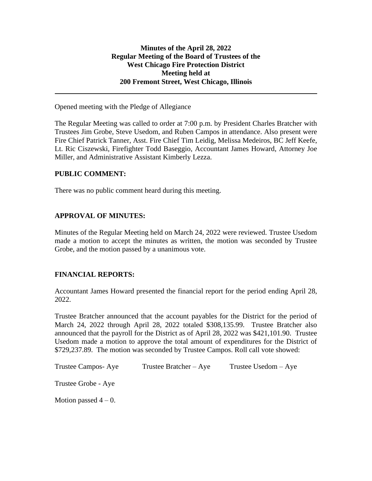Opened meeting with the Pledge of Allegiance

The Regular Meeting was called to order at 7:00 p.m. by President Charles Bratcher with Trustees Jim Grobe, Steve Usedom, and Ruben Campos in attendance. Also present were Fire Chief Patrick Tanner, Asst. Fire Chief Tim Leidig, Melissa Medeiros, BC Jeff Keefe, Lt. Ric Ciszewski, Firefighter Todd Baseggio, Accountant James Howard, Attorney Joe Miller, and Administrative Assistant Kimberly Lezza.

## **PUBLIC COMMENT:**

There was no public comment heard during this meeting.

# **APPROVAL OF MINUTES:**

Minutes of the Regular Meeting held on March 24, 2022 were reviewed. Trustee Usedom made a motion to accept the minutes as written, the motion was seconded by Trustee Grobe, and the motion passed by a unanimous vote.

## **FINANCIAL REPORTS:**

Accountant James Howard presented the financial report for the period ending April 28, 2022.

Trustee Bratcher announced that the account payables for the District for the period of March 24, 2022 through April 28, 2022 totaled \$308,135.99. Trustee Bratcher also announced that the payroll for the District as of April 28, 2022 was \$421,101.90. Trustee Usedom made a motion to approve the total amount of expenditures for the District of \$729,237.89. The motion was seconded by Trustee Campos. Roll call vote showed:

| Trustee Campos-Aye    | Trustee Bratcher – Aye | Trustee $Usedom - Aye$ |
|-----------------------|------------------------|------------------------|
| Trustee Grobe - Aye   |                        |                        |
| Motion passed $4-0$ . |                        |                        |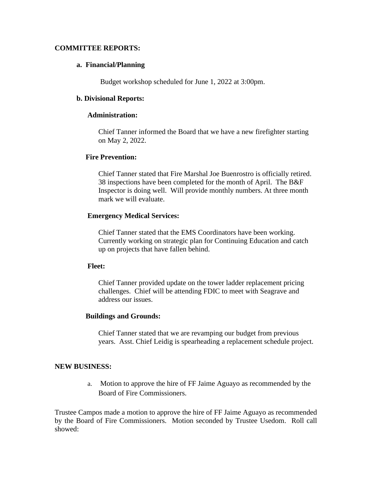## **COMMITTEE REPORTS:**

#### **a. Financial/Planning**

Budget workshop scheduled for June 1, 2022 at 3:00pm.

#### **b. Divisional Reports:**

### **Administration:**

Chief Tanner informed the Board that we have a new firefighter starting on May 2, 2022.

### **Fire Prevention:**

Chief Tanner stated that Fire Marshal Joe Buenrostro is officially retired. 38 inspections have been completed for the month of April. The B&F Inspector is doing well. Will provide monthly numbers. At three month mark we will evaluate.

### **Emergency Medical Services:**

Chief Tanner stated that the EMS Coordinators have been working. Currently working on strategic plan for Continuing Education and catch up on projects that have fallen behind.

#### **Fleet:**

Chief Tanner provided update on the tower ladder replacement pricing challenges. Chief will be attending FDIC to meet with Seagrave and address our issues.

#### **Buildings and Grounds:**

Chief Tanner stated that we are revamping our budget from previous years. Asst. Chief Leidig is spearheading a replacement schedule project.

#### **NEW BUSINESS:**

a. Motion to approve the hire of FF Jaime Aguayo as recommended by the Board of Fire Commissioners.

Trustee Campos made a motion to approve the hire of FF Jaime Aguayo as recommended by the Board of Fire Commissioners. Motion seconded by Trustee Usedom. Roll call showed: